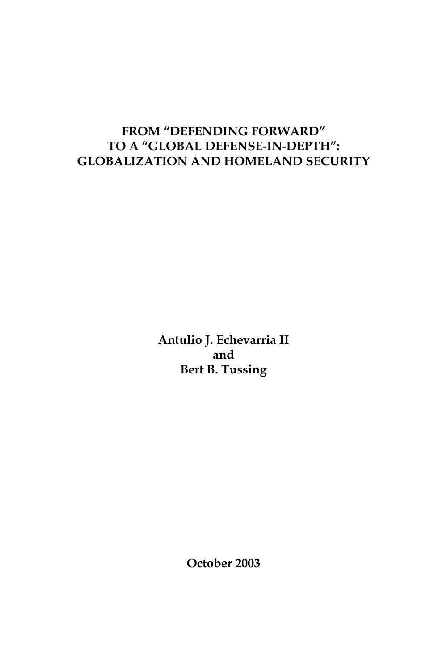# **FROM "DEFENDING FORWARD" TO A "GLOBAL DEFENSE-IN-DEPTH": GLOBALIZATION AND HOMELAND SECURITY**

**Antulio J. Echevarria II and Bert B. Tussing**

**October 2003**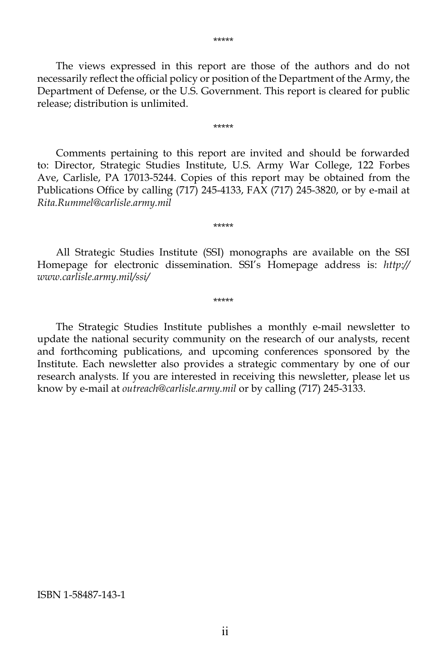The views expressed in this report are those of the authors and do not necessarily reflect the official policy or position of the Department of the Army, the Department of Defense, or the U.S. Government. This report is cleared for public release; distribution is unlimited.

\*\*\*\*\*

Comments pertaining to this report are invited and should be forwarded to: Director, Strategic Studies Institute, U.S. Army War College, 122 Forbes Ave, Carlisle, PA 17013-5244. Copies of this report may be obtained from the Publications Office by calling (717) 245-4133, FAX (717) 245-3820, or by e-mail at *Rita.Rummel@carlisle.army.mil*

All Strategic Studies Institute (SSI) monographs are available on the SSI Homepage for electronic dissemination. SSI's Homepage address is: *http:// www.carlisle.army.mil/ssi/*

\*\*\*\*\*

\*\*\*\*\*

The Strategic Studies Institute publishes a monthly e-mail newsletter to update the national security community on the research of our analysts, recent and forthcoming publications, and upcoming conferences sponsored by the Institute. Each newsletter also provides a strategic commentary by one of our research analysts. If you are interested in receiving this newsletter, please let us know by e-mail at *outreach@carlisle.army.mil* or by calling (717) 245-3133.

ISBN 1-58487-143-1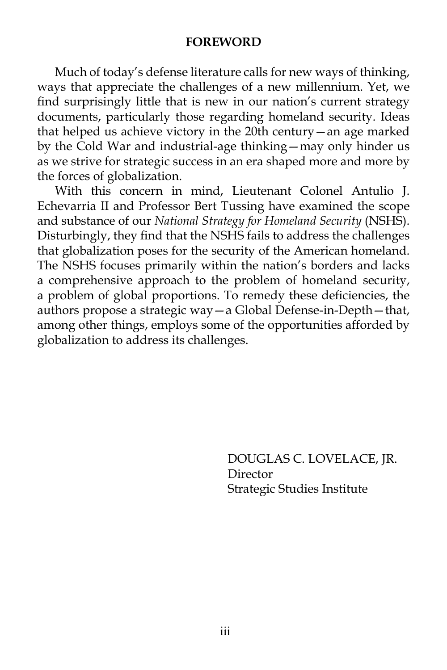#### **FOREWORD**

Much of today's defense literature calls for new ways of thinking, ways that appreciate the challenges of a new millennium. Yet, we find surprisingly little that is new in our nation's current strategy documents, particularly those regarding homeland security. Ideas that helped us achieve victory in the 20th century—an age marked by the Cold War and industrial-age thinking—may only hinder us as we strive for strategic success in an era shaped more and more by the forces of globalization.

With this concern in mind, Lieutenant Colonel Antulio J. Echevarria II and Professor Bert Tussing have examined the scope and substance of our *National Strategy for Homeland Security* (NSHS). Disturbingly, they find that the NSHS fails to address the challenges that globalization poses for the security of the American homeland. The NSHS focuses primarily within the nation's borders and lacks a comprehensive approach to the problem of homeland security, a problem of global proportions. To remedy these deficiencies, the authors propose a strategic way—a Global Defense-in-Depth—that, among other things, employs some of the opportunities afforded by globalization to address its challenges.

> DOUGLAS C. LOVELACE, JR. Director Strategic Studies Institute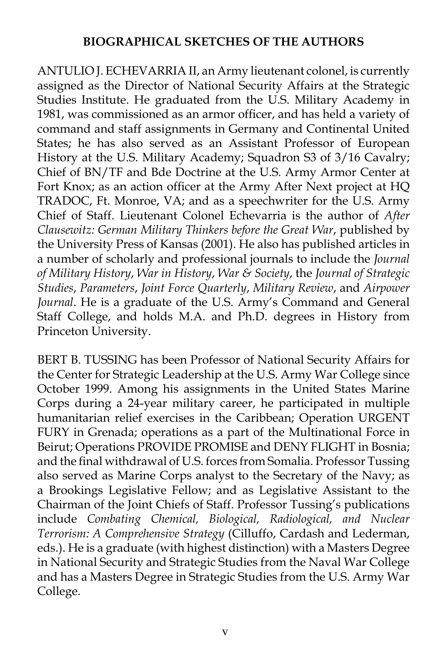### **BIOGRAPHICAL SKETCHES OF THE AUTHORS**

ANTULIO J. ECHEVARRIA II, an Army lieutenant colonel, is currently assigned as the Director of National Security Affairs at the Strategic Studies Institute. He graduated from the U.S. Military Academy in 1981, was commissioned as an armor officer, and has held a variety of command and staff assignments in Germany and Continental United States; he has also served as an Assistant Professor of European History at the U.S. Military Academy; Squadron S3 of 3/16 Cavalry; Chief of BN/TF and Bde Doctrine at the U.S. Army Armor Center at Fort Knox; as an action officer at the Army After Next project at HQ TRADOC, Ft. Monroe, VA; and as a speechwriter for the U.S. Army Chief of Staff. Lieutenant Colonel Echevarria is the author of *After Clausewitz: German Military Thinkers before the Great War*, published by the University Press of Kansas (2001). He also has published articles in a number of scholarly and professional journals to include the *Journal of Military History*, *War in History*, *War & Society*, the *Journal of Strategic Studies*, *Parameters*, *Joint Force Quarterly*, *Military Review*, and *Airpower Journal*. He is a graduate of the U.S. Army's Command and General Staff College, and holds M.A. and Ph.D. degrees in History from Princeton University.

BERT B. TUSSING has been Professor of National Security Affairs for the Center for Strategic Leadership at the U.S. Army War College since October 1999. Among his assignments in the United States Marine Corps during a 24-year military career, he participated in multiple humanitarian relief exercises in the Caribbean; Operation URGENT FURY in Grenada; operations as a part of the Multinational Force in Beirut; Operations PROVIDE PROMISE and DENY FLIGHT in Bosnia; and the final withdrawal of U.S. forces from Somalia. Professor Tussing also served as Marine Corps analyst to the Secretary of the Navy; as a Brookings Legislative Fellow; and as Legislative Assistant to the Chairman of the Joint Chiefs of Staff. Professor Tussing's publications include *Combating Chemical, Biological, Radiological, and Nuclear Terrorism: A Comprehensive Strategy* (Cilluffo, Cardash and Lederman, eds.). He is a graduate (with highest distinction) with a Masters Degree in National Security and Strategic Studies from the Naval War College and has a Masters Degree in Strategic Studies from the U.S. Army War College.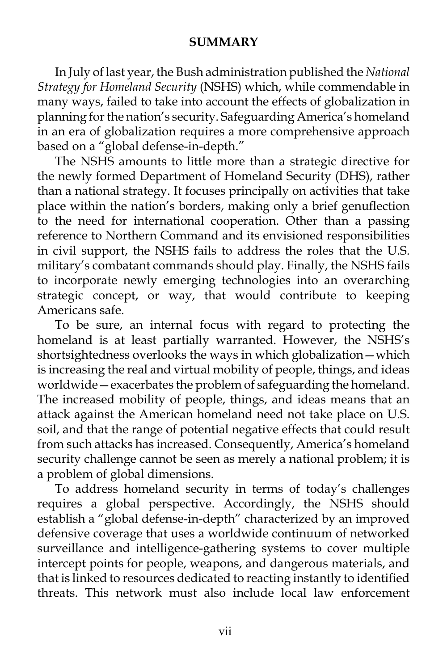### **SUMMARY**

In July of last year, the Bush administration published the *National Strategy for Homeland Security* (NSHS) which, while commendable in many ways, failed to take into account the effects of globalization in planning for the nation's security. Safeguarding America's homeland in an era of globalization requires a more comprehensive approach based on a "global defense-in-depth."

The NSHS amounts to little more than a strategic directive for the newly formed Department of Homeland Security (DHS), rather than a national strategy. It focuses principally on activities that take place within the nation's borders, making only a brief genuflection to the need for international cooperation. Other than a passing reference to Northern Command and its envisioned responsibilities in civil support, the NSHS fails to address the roles that the U.S. military's combatant commands should play. Finally, the NSHS fails to incorporate newly emerging technologies into an overarching strategic concept, or way, that would contribute to keeping Americans safe.

To be sure, an internal focus with regard to protecting the homeland is at least partially warranted. However, the NSHS's shortsightedness overlooks the ways in which globalization—which is increasing the real and virtual mobility of people, things, and ideas worldwide—exacerbates the problem of safeguarding the homeland. The increased mobility of people, things, and ideas means that an attack against the American homeland need not take place on U.S. soil, and that the range of potential negative effects that could result from such attacks has increased. Consequently, America's homeland security challenge cannot be seen as merely a national problem; it is a problem of global dimensions.

To address homeland security in terms of today's challenges requires a global perspective. Accordingly, the NSHS should establish a "global defense-in-depth" characterized by an improved defensive coverage that uses a worldwide continuum of networked surveillance and intelligence-gathering systems to cover multiple intercept points for people, weapons, and dangerous materials, and that is linked to resources dedicated to reacting instantly to identified threats. This network must also include local law enforcement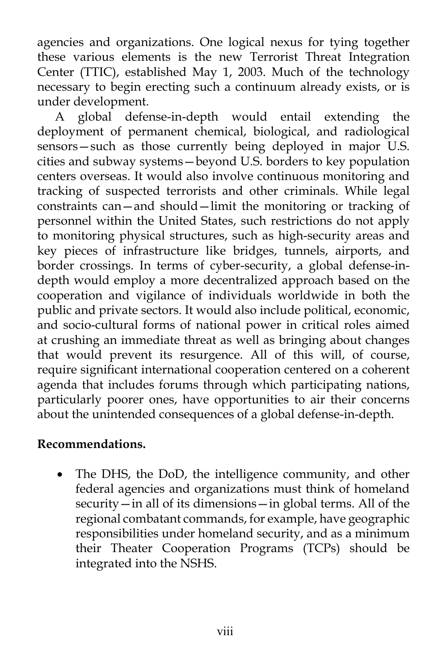agencies and organizations. One logical nexus for tying together these various elements is the new Terrorist Threat Integration Center (TTIC), established May 1, 2003. Much of the technology necessary to begin erecting such a continuum already exists, or is under development.

A global defense-in-depth would entail extending the deployment of permanent chemical, biological, and radiological sensors—such as those currently being deployed in major U.S. cities and subway systems—beyond U.S. borders to key population centers overseas. It would also involve continuous monitoring and tracking of suspected terrorists and other criminals. While legal constraints can—and should—limit the monitoring or tracking of personnel within the United States, such restrictions do not apply to monitoring physical structures, such as high-security areas and key pieces of infrastructure like bridges, tunnels, airports, and border crossings. In terms of cyber-security, a global defense-indepth would employ a more decentralized approach based on the cooperation and vigilance of individuals worldwide in both the public and private sectors. It would also include political, economic, and socio-cultural forms of national power in critical roles aimed at crushing an immediate threat as well as bringing about changes that would prevent its resurgence. All of this will, of course, require significant international cooperation centered on a coherent agenda that includes forums through which participating nations, particularly poorer ones, have opportunities to air their concerns about the unintended consequences of a global defense-in-depth.

# **Recommendations.**

The DHS, the DoD, the intelligence community, and other federal agencies and organizations must think of homeland security—in all of its dimensions—in global terms. All of the regional combatant commands, for example, have geographic responsibilities under homeland security, and as a minimum their Theater Cooperation Programs (TCPs) should be integrated into the NSHS.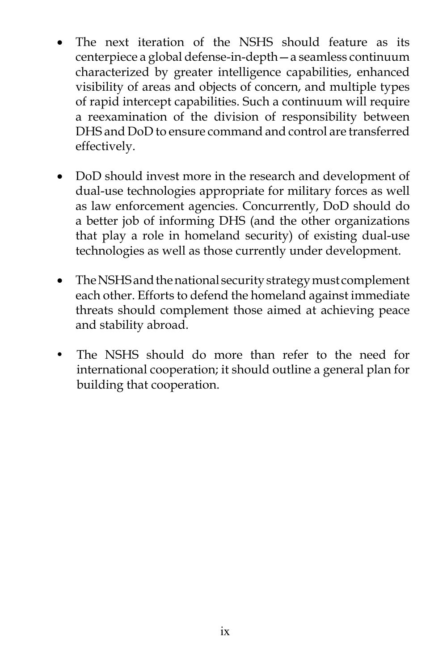- The next iteration of the NSHS should feature as its centerpiece a global defense-in-depth—a seamless continuum characterized by greater intelligence capabilities, enhanced visibility of areas and objects of concern, and multiple types of rapid intercept capabilities. Such a continuum will require a reexamination of the division of responsibility between DHS and DoD to ensure command and control are transferred effectively.
- DoD should invest more in the research and development of dual-use technologies appropriate for military forces as well as law enforcement agencies. Concurrently, DoD should do a better job of informing DHS (and the other organizations that play a role in homeland security) of existing dual-use technologies as well as those currently under development.
- The NSHS and the national security strategy must complement each other. Efforts to defend the homeland against immediate threats should complement those aimed at achieving peace and stability abroad.
- The NSHS should do more than refer to the need for international cooperation; it should outline a general plan for building that cooperation.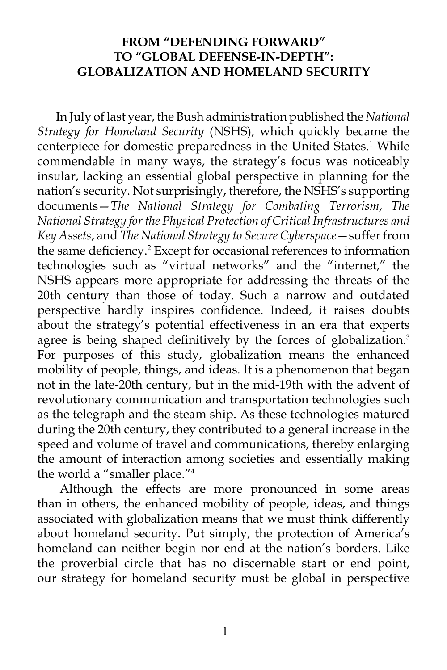### **FROM "DEFENDING FORWARD" TO "GLOBAL DEFENSE-IN-DEPTH": GLOBALIZATION AND HOMELAND SECURITY**

In July of last year, the Bush administration published the *National Strategy for Homeland Security* (NSHS), which quickly became the centerpiece for domestic preparedness in the United States.<sup>1</sup> While commendable in many ways, the strategy's focus was noticeably insular, lacking an essential global perspective in planning for the nation's security. Not surprisingly, therefore, the NSHS's supporting documents—*The National Strategy for Combating Terrorism*, *The National Strategy for the Physical Protection of Critical Infrastructures and Key Assets*, and *The National Strategy to Secure Cyberspace*—suffer from the same deficiency.<sup>2</sup> Except for occasional references to information technologies such as "virtual networks" and the "internet," the NSHS appears more appropriate for addressing the threats of the 20th century than those of today. Such a narrow and outdated perspective hardly inspires confidence. Indeed, it raises doubts about the strategy's potential effectiveness in an era that experts agree is being shaped definitively by the forces of globalization.<sup>3</sup> For purposes of this study, globalization means the enhanced mobility of people, things, and ideas. It is a phenomenon that began not in the late-20th century, but in the mid-19th with the advent of revolutionary communication and transportation technologies such as the telegraph and the steam ship. As these technologies matured during the 20th century, they contributed to a general increase in the speed and volume of travel and communications, thereby enlarging the amount of interaction among societies and essentially making the world a "smaller place."<sup>4</sup>

Although the effects are more pronounced in some areas than in others, the enhanced mobility of people, ideas, and things associated with globalization means that we must think differently about homeland security. Put simply, the protection of America's homeland can neither begin nor end at the nation's borders. Like the proverbial circle that has no discernable start or end point, our strategy for homeland security must be global in perspective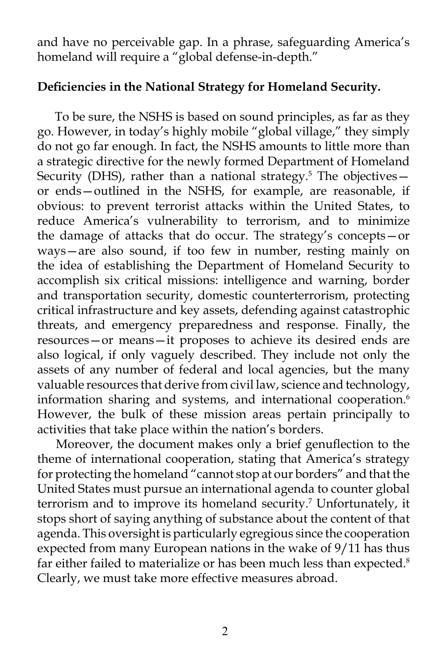and have no perceivable gap. In a phrase, safeguarding America's homeland will require a "global defense-in-depth."

### **Deficiencies in the National Strategy for Homeland Security.**

To be sure, the NSHS is based on sound principles, as far as they go. However, in today's highly mobile "global village," they simply do not go far enough. In fact, the NSHS amounts to little more than a strategic directive for the newly formed Department of Homeland Security (DHS), rather than a national strategy.<sup>5</sup> The objectivesor ends—outlined in the NSHS, for example, are reasonable, if obvious: to prevent terrorist attacks within the United States, to reduce America's vulnerability to terrorism, and to minimize the damage of attacks that do occur. The strategy's concepts—or ways—are also sound, if too few in number, resting mainly on the idea of establishing the Department of Homeland Security to accomplish six critical missions: intelligence and warning, border and transportation security, domestic counterterrorism, protecting critical infrastructure and key assets, defending against catastrophic threats, and emergency preparedness and response. Finally, the resources—or means—it proposes to achieve its desired ends are also logical, if only vaguely described. They include not only the assets of any number of federal and local agencies, but the many valuable resources that derive from civil law, science and technology, information sharing and systems, and international cooperation.<sup>6</sup> However, the bulk of these mission areas pertain principally to activities that take place within the nation's borders.

Moreover, the document makes only a brief genuflection to the theme of international cooperation, stating that America's strategy for protecting the homeland "cannot stop at our borders" and that the United States must pursue an international agenda to counter global terrorism and to improve its homeland security.<sup>7</sup> Unfortunately, it stops short of saying anything of substance about the content of that agenda. This oversight is particularly egregious since the cooperation expected from many European nations in the wake of 9/11 has thus far either failed to materialize or has been much less than expected.<sup>8</sup> Clearly, we must take more effective measures abroad.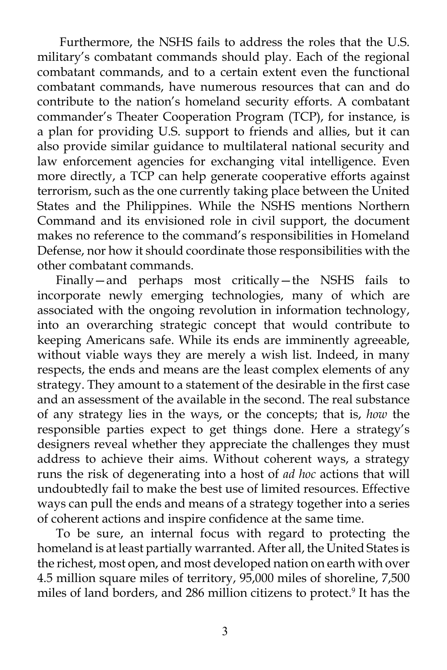Furthermore, the NSHS fails to address the roles that the U.S. military's combatant commands should play. Each of the regional combatant commands, and to a certain extent even the functional combatant commands, have numerous resources that can and do contribute to the nation's homeland security efforts. A combatant commander's Theater Cooperation Program (TCP), for instance, is a plan for providing U.S. support to friends and allies, but it can also provide similar guidance to multilateral national security and law enforcement agencies for exchanging vital intelligence. Even more directly, a TCP can help generate cooperative efforts against terrorism, such as the one currently taking place between the United States and the Philippines. While the NSHS mentions Northern Command and its envisioned role in civil support, the document makes no reference to the command's responsibilities in Homeland Defense, nor how it should coordinate those responsibilities with the other combatant commands.

Finally—and perhaps most critically—the NSHS fails to incorporate newly emerging technologies, many of which are associated with the ongoing revolution in information technology, into an overarching strategic concept that would contribute to keeping Americans safe. While its ends are imminently agreeable, without viable ways they are merely a wish list. Indeed, in many respects, the ends and means are the least complex elements of any strategy. They amount to a statement of the desirable in the first case and an assessment of the available in the second. The real substance of any strategy lies in the ways, or the concepts; that is, *how* the responsible parties expect to get things done. Here a strategy's designers reveal whether they appreciate the challenges they must address to achieve their aims. Without coherent ways, a strategy runs the risk of degenerating into a host of *ad hoc* actions that will undoubtedly fail to make the best use of limited resources. Effective ways can pull the ends and means of a strategy together into a series of coherent actions and inspire confidence at the same time.

To be sure, an internal focus with regard to protecting the homeland is at least partially warranted. After all, the United States is the richest, most open, and most developed nation on earth with over 4.5 million square miles of territory, 95,000 miles of shoreline, 7,500 miles of land borders, and 286 million citizens to protect.9 It has the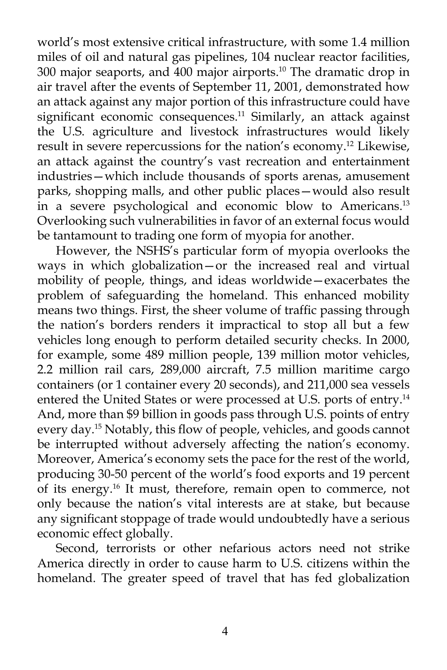world's most extensive critical infrastructure, with some 1.4 million miles of oil and natural gas pipelines, 104 nuclear reactor facilities, 300 major seaports, and 400 major airports.10 The dramatic drop in air travel after the events of September 11, 2001, demonstrated how an attack against any major portion of this infrastructure could have significant economic consequences.<sup>11</sup> Similarly, an attack against the U.S. agriculture and livestock infrastructures would likely result in severe repercussions for the nation's economy.12 Likewise, an attack against the country's vast recreation and entertainment industries—which include thousands of sports arenas, amusement parks, shopping malls, and other public places—would also result in a severe psychological and economic blow to Americans.13 Overlooking such vulnerabilities in favor of an external focus would be tantamount to trading one form of myopia for another.

However, the NSHS's particular form of myopia overlooks the ways in which globalization—or the increased real and virtual mobility of people, things, and ideas worldwide—exacerbates the problem of safeguarding the homeland. This enhanced mobility means two things. First, the sheer volume of traffic passing through the nation's borders renders it impractical to stop all but a few vehicles long enough to perform detailed security checks. In 2000, for example, some 489 million people, 139 million motor vehicles, 2.2 million rail cars, 289,000 aircraft, 7.5 million maritime cargo containers (or 1 container every 20 seconds), and 211,000 sea vessels entered the United States or were processed at U.S. ports of entry.14 And, more than \$9 billion in goods pass through U.S. points of entry every day.15 Notably, this flow of people, vehicles, and goods cannot be interrupted without adversely affecting the nation's economy. Moreover, America's economy sets the pace for the rest of the world, producing 30-50 percent of the world's food exports and 19 percent of its energy.16 It must, therefore, remain open to commerce, not only because the nation's vital interests are at stake, but because any significant stoppage of trade would undoubtedly have a serious economic effect globally.

Second, terrorists or other nefarious actors need not strike America directly in order to cause harm to U.S. citizens within the homeland. The greater speed of travel that has fed globalization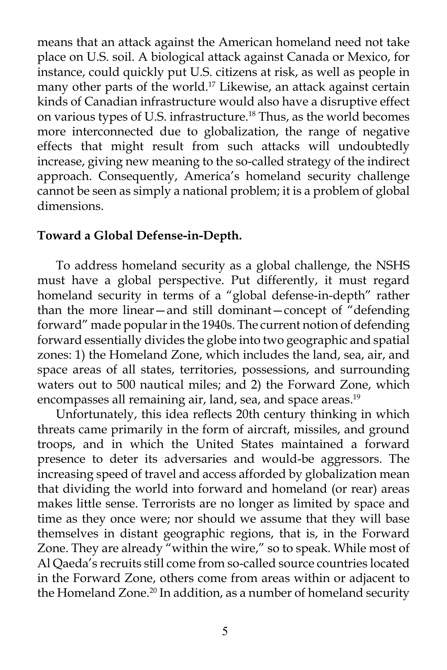means that an attack against the American homeland need not take place on U.S. soil. A biological attack against Canada or Mexico, for instance, could quickly put U.S. citizens at risk, as well as people in many other parts of the world.<sup>17</sup> Likewise, an attack against certain kinds of Canadian infrastructure would also have a disruptive effect on various types of U.S. infrastructure.<sup>18</sup> Thus, as the world becomes more interconnected due to globalization, the range of negative effects that might result from such attacks will undoubtedly increase, giving new meaning to the so-called strategy of the indirect approach. Consequently, America's homeland security challenge cannot be seen as simply a national problem; it is a problem of global dimensions.

#### **Toward a Global Defense-in-Depth.**

To address homeland security as a global challenge, the NSHS must have a global perspective. Put differently, it must regard homeland security in terms of a "global defense-in-depth" rather than the more linear—and still dominant—concept of "defending forward" made popular in the 1940s. The current notion of defending forward essentially divides the globe into two geographic and spatial zones: 1) the Homeland Zone, which includes the land, sea, air, and space areas of all states, territories, possessions, and surrounding waters out to 500 nautical miles; and 2) the Forward Zone, which encompasses all remaining air, land, sea, and space areas.<sup>19</sup>

Unfortunately, this idea reflects 20th century thinking in which threats came primarily in the form of aircraft, missiles, and ground troops, and in which the United States maintained a forward presence to deter its adversaries and would-be aggressors. The increasing speed of travel and access afforded by globalization mean that dividing the world into forward and homeland (or rear) areas makes little sense. Terrorists are no longer as limited by space and time as they once were; nor should we assume that they will base themselves in distant geographic regions, that is, in the Forward Zone. They are already "within the wire," so to speak. While most of Al Qaeda's recruits still come from so-called source countries located in the Forward Zone, others come from areas within or adjacent to the Homeland Zone.<sup>20</sup> In addition, as a number of homeland security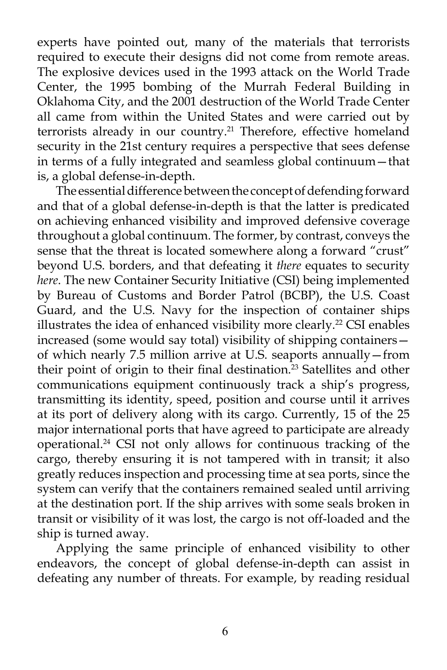experts have pointed out, many of the materials that terrorists required to execute their designs did not come from remote areas. The explosive devices used in the 1993 attack on the World Trade Center, the 1995 bombing of the Murrah Federal Building in Oklahoma City, and the 2001 destruction of the World Trade Center all came from within the United States and were carried out by terrorists already in our country.<sup>21</sup> Therefore, effective homeland security in the 21st century requires a perspective that sees defense in terms of a fully integrated and seamless global continuum—that is, a global defense-in-depth.

The essential difference between the concept of defending forward and that of a global defense-in-depth is that the latter is predicated on achieving enhanced visibility and improved defensive coverage throughout a global continuum. The former, by contrast, conveys the sense that the threat is located somewhere along a forward "crust" beyond U.S. borders, and that defeating it *there* equates to security *here*. The new Container Security Initiative (CSI) being implemented by Bureau of Customs and Border Patrol (BCBP), the U.S. Coast Guard, and the U.S. Navy for the inspection of container ships illustrates the idea of enhanced visibility more clearly.<sup>22</sup> CSI enables increased (some would say total) visibility of shipping containers of which nearly 7.5 million arrive at U.S. seaports annually—from their point of origin to their final destination.<sup>23</sup> Satellites and other communications equipment continuously track a ship's progress, transmitting its identity, speed, position and course until it arrives at its port of delivery along with its cargo. Currently, 15 of the 25 major international ports that have agreed to participate are already operational.24 CSI not only allows for continuous tracking of the cargo, thereby ensuring it is not tampered with in transit; it also greatly reduces inspection and processing time at sea ports, since the system can verify that the containers remained sealed until arriving at the destination port. If the ship arrives with some seals broken in transit or visibility of it was lost, the cargo is not off-loaded and the ship is turned away.

Applying the same principle of enhanced visibility to other endeavors, the concept of global defense-in-depth can assist in defeating any number of threats. For example, by reading residual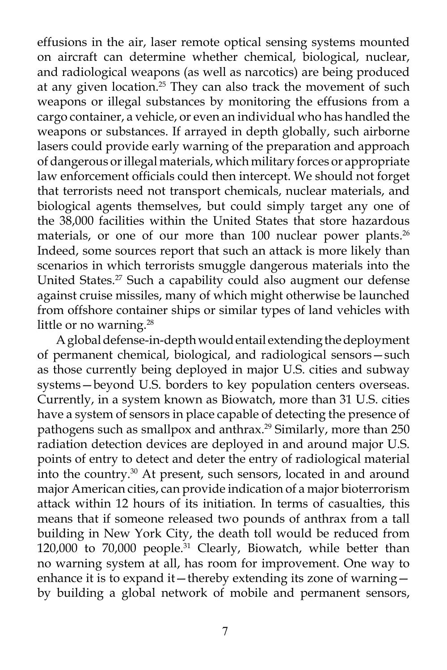effusions in the air, laser remote optical sensing systems mounted on aircraft can determine whether chemical, biological, nuclear, and radiological weapons (as well as narcotics) are being produced at any given location.<sup>25</sup> They can also track the movement of such weapons or illegal substances by monitoring the effusions from a cargo container, a vehicle, or even an individual who has handled the weapons or substances. If arrayed in depth globally, such airborne lasers could provide early warning of the preparation and approach of dangerous or illegal materials, which military forces or appropriate law enforcement officials could then intercept. We should not forget that terrorists need not transport chemicals, nuclear materials, and biological agents themselves, but could simply target any one of the 38,000 facilities within the United States that store hazardous materials, or one of our more than 100 nuclear power plants.<sup>26</sup> Indeed, some sources report that such an attack is more likely than scenarios in which terrorists smuggle dangerous materials into the United States.<sup>27</sup> Such a capability could also augment our defense against cruise missiles, many of which might otherwise be launched from offshore container ships or similar types of land vehicles with little or no warning.<sup>28</sup>

A global defense-in-depth would entail extending the deployment of permanent chemical, biological, and radiological sensors—such as those currently being deployed in major U.S. cities and subway systems—beyond U.S. borders to key population centers overseas. Currently, in a system known as Biowatch, more than 31 U.S. cities have a system of sensors in place capable of detecting the presence of pathogens such as smallpox and anthrax.<sup>29</sup> Similarly, more than 250 radiation detection devices are deployed in and around major U.S. points of entry to detect and deter the entry of radiological material into the country.30 At present, such sensors, located in and around major American cities, can provide indication of a major bioterrorism attack within 12 hours of its initiation. In terms of casualties, this means that if someone released two pounds of anthrax from a tall building in New York City, the death toll would be reduced from 120,000 to 70,000 people.31 Clearly, Biowatch, while better than no warning system at all, has room for improvement. One way to enhance it is to expand it—thereby extending its zone of warning by building a global network of mobile and permanent sensors,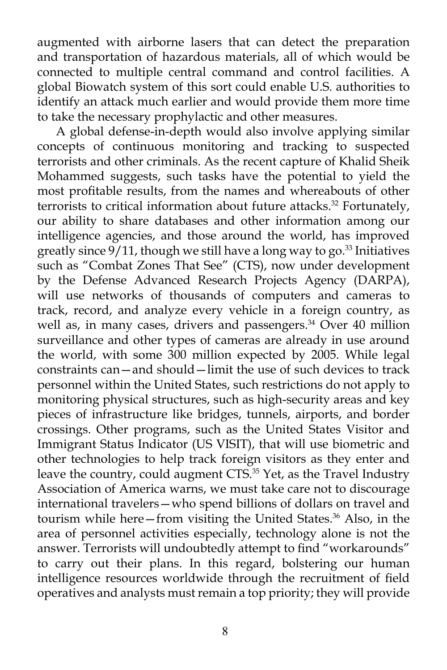augmented with airborne lasers that can detect the preparation and transportation of hazardous materials, all of which would be connected to multiple central command and control facilities. A global Biowatch system of this sort could enable U.S. authorities to identify an attack much earlier and would provide them more time to take the necessary prophylactic and other measures.

A global defense-in-depth would also involve applying similar concepts of continuous monitoring and tracking to suspected terrorists and other criminals. As the recent capture of Khalid Sheik Mohammed suggests, such tasks have the potential to yield the most profitable results, from the names and whereabouts of other terrorists to critical information about future attacks.<sup>32</sup> Fortunately, our ability to share databases and other information among our intelligence agencies, and those around the world, has improved greatly since  $9/11$ , though we still have a long way to go.<sup>33</sup> Initiatives such as "Combat Zones That See" (CTS), now under development by the Defense Advanced Research Projects Agency (DARPA), will use networks of thousands of computers and cameras to track, record, and analyze every vehicle in a foreign country, as well as, in many cases, drivers and passengers.<sup>34</sup> Over 40 million surveillance and other types of cameras are already in use around the world, with some 300 million expected by 2005. While legal constraints can—and should—limit the use of such devices to track personnel within the United States, such restrictions do not apply to monitoring physical structures, such as high-security areas and key pieces of infrastructure like bridges, tunnels, airports, and border crossings. Other programs, such as the United States Visitor and Immigrant Status Indicator (US VISIT), that will use biometric and other technologies to help track foreign visitors as they enter and leave the country, could augment CTS.<sup>35</sup> Yet, as the Travel Industry Association of America warns, we must take care not to discourage international travelers—who spend billions of dollars on travel and tourism while here–from visiting the United States.<sup>36</sup> Also, in the area of personnel activities especially, technology alone is not the answer. Terrorists will undoubtedly attempt to find "workarounds" to carry out their plans. In this regard, bolstering our human intelligence resources worldwide through the recruitment of field operatives and analysts must remain a top priority; they will provide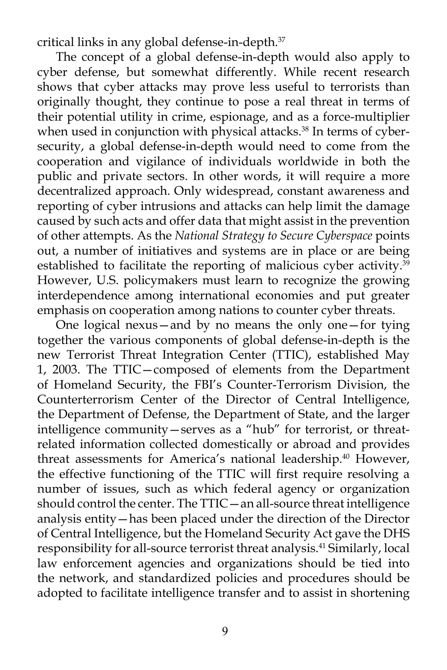critical links in any global defense-in-depth.37

The concept of a global defense-in-depth would also apply to cyber defense, but somewhat differently. While recent research shows that cyber attacks may prove less useful to terrorists than originally thought, they continue to pose a real threat in terms of their potential utility in crime, espionage, and as a force-multiplier when used in conjunction with physical attacks.<sup>38</sup> In terms of cybersecurity, a global defense-in-depth would need to come from the cooperation and vigilance of individuals worldwide in both the public and private sectors. In other words, it will require a more decentralized approach. Only widespread, constant awareness and reporting of cyber intrusions and attacks can help limit the damage caused by such acts and offer data that might assist in the prevention of other attempts. As the *National Strategy to Secure Cyberspace* points out, a number of initiatives and systems are in place or are being established to facilitate the reporting of malicious cyber activity.<sup>39</sup> However, U.S. policymakers must learn to recognize the growing interdependence among international economies and put greater emphasis on cooperation among nations to counter cyber threats.

One logical nexus—and by no means the only one—for tying together the various components of global defense-in-depth is the new Terrorist Threat Integration Center (TTIC), established May 1, 2003. The TTIC—composed of elements from the Department of Homeland Security, the FBI's Counter-Terrorism Division, the Counterterrorism Center of the Director of Central Intelligence, the Department of Defense, the Department of State, and the larger intelligence community—serves as a "hub" for terrorist, or threatrelated information collected domestically or abroad and provides threat assessments for America's national leadership.40 However, the effective functioning of the TTIC will first require resolving a number of issues, such as which federal agency or organization should control the center. The TTIC—an all-source threat intelligence analysis entity—has been placed under the direction of the Director of Central Intelligence, but the Homeland Security Act gave the DHS responsibility for all-source terrorist threat analysis.41 Similarly, local law enforcement agencies and organizations should be tied into the network, and standardized policies and procedures should be adopted to facilitate intelligence transfer and to assist in shortening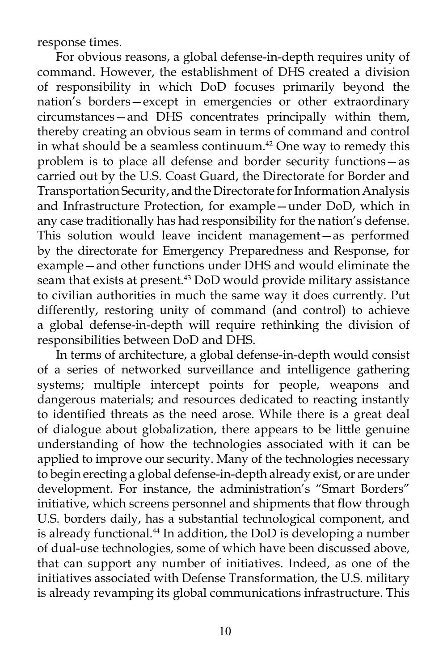response times.

For obvious reasons, a global defense-in-depth requires unity of command. However, the establishment of DHS created a division of responsibility in which DoD focuses primarily beyond the nation's borders—except in emergencies or other extraordinary circumstances—and DHS concentrates principally within them, thereby creating an obvious seam in terms of command and control in what should be a seamless continuum.<sup>42</sup> One way to remedy this problem is to place all defense and border security functions—as carried out by the U.S. Coast Guard, the Directorate for Border and Transportation Security, and the Directorate for Information Analysis and Infrastructure Protection, for example—under DoD, which in any case traditionally has had responsibility for the nation's defense. This solution would leave incident management—as performed by the directorate for Emergency Preparedness and Response, for example—and other functions under DHS and would eliminate the seam that exists at present.<sup>43</sup> DoD would provide military assistance to civilian authorities in much the same way it does currently. Put differently, restoring unity of command (and control) to achieve a global defense-in-depth will require rethinking the division of responsibilities between DoD and DHS.

In terms of architecture, a global defense-in-depth would consist of a series of networked surveillance and intelligence gathering systems; multiple intercept points for people, weapons and dangerous materials; and resources dedicated to reacting instantly to identified threats as the need arose. While there is a great deal of dialogue about globalization, there appears to be little genuine understanding of how the technologies associated with it can be applied to improve our security. Many of the technologies necessary to begin erecting a global defense-in-depth already exist, or are under development. For instance, the administration's "Smart Borders" initiative, which screens personnel and shipments that flow through U.S. borders daily, has a substantial technological component, and is already functional.<sup>44</sup> In addition, the DoD is developing a number of dual-use technologies, some of which have been discussed above, that can support any number of initiatives. Indeed, as one of the initiatives associated with Defense Transformation, the U.S. military is already revamping its global communications infrastructure. This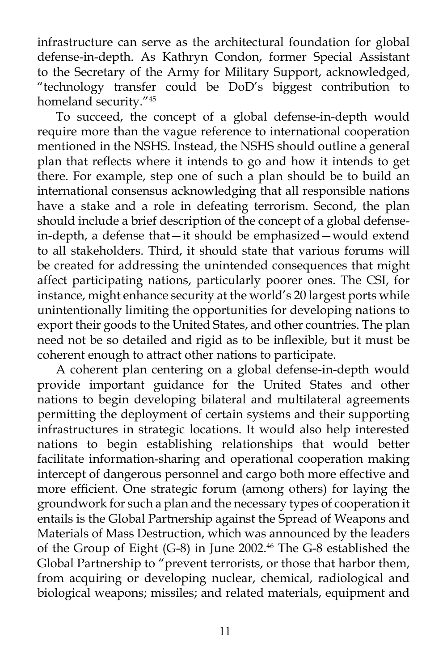infrastructure can serve as the architectural foundation for global defense-in-depth. As Kathryn Condon, former Special Assistant to the Secretary of the Army for Military Support, acknowledged, "technology transfer could be DoD's biggest contribution to homeland security."45

To succeed, the concept of a global defense-in-depth would require more than the vague reference to international cooperation mentioned in the NSHS. Instead, the NSHS should outline a general plan that reflects where it intends to go and how it intends to get there. For example, step one of such a plan should be to build an international consensus acknowledging that all responsible nations have a stake and a role in defeating terrorism. Second, the plan should include a brief description of the concept of a global defensein-depth, a defense that—it should be emphasized—would extend to all stakeholders. Third, it should state that various forums will be created for addressing the unintended consequences that might affect participating nations, particularly poorer ones. The CSI, for instance, might enhance security at the world's 20 largest ports while unintentionally limiting the opportunities for developing nations to export their goods to the United States, and other countries. The plan need not be so detailed and rigid as to be inflexible, but it must be coherent enough to attract other nations to participate.

A coherent plan centering on a global defense-in-depth would provide important guidance for the United States and other nations to begin developing bilateral and multilateral agreements permitting the deployment of certain systems and their supporting infrastructures in strategic locations. It would also help interested nations to begin establishing relationships that would better facilitate information-sharing and operational cooperation making intercept of dangerous personnel and cargo both more effective and more efficient. One strategic forum (among others) for laying the groundwork for such a plan and the necessary types of cooperation it entails is the Global Partnership against the Spread of Weapons and Materials of Mass Destruction, which was announced by the leaders of the Group of Eight (G-8) in June 2002.<sup>46</sup> The G-8 established the Global Partnership to "prevent terrorists, or those that harbor them, from acquiring or developing nuclear, chemical, radiological and biological weapons; missiles; and related materials, equipment and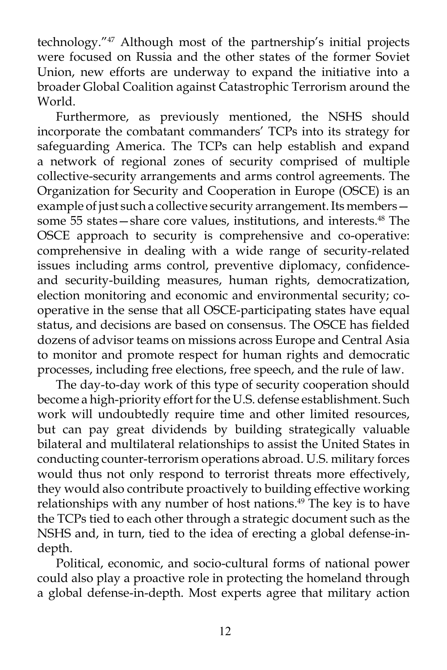technology."47 Although most of the partnership's initial projects were focused on Russia and the other states of the former Soviet Union, new efforts are underway to expand the initiative into a broader Global Coalition against Catastrophic Terrorism around the World.

Furthermore, as previously mentioned, the NSHS should incorporate the combatant commanders' TCPs into its strategy for safeguarding America. The TCPs can help establish and expand a network of regional zones of security comprised of multiple collective-security arrangements and arms control agreements. The Organization for Security and Cooperation in Europe (OSCE) is an example of just such a collective security arrangement. Its members some 55 states—share core values, institutions, and interests.<sup>48</sup> The OSCE approach to security is comprehensive and co-operative: comprehensive in dealing with a wide range of security-related issues including arms control, preventive diplomacy, confidenceand security-building measures, human rights, democratization, election monitoring and economic and environmental security; cooperative in the sense that all OSCE-participating states have equal status, and decisions are based on consensus. The OSCE has fielded dozens of advisor teams on missions across Europe and Central Asia to monitor and promote respect for human rights and democratic processes, including free elections, free speech, and the rule of law.

The day-to-day work of this type of security cooperation should become a high-priority effort for the U.S. defense establishment. Such work will undoubtedly require time and other limited resources, but can pay great dividends by building strategically valuable bilateral and multilateral relationships to assist the United States in conducting counter-terrorism operations abroad. U.S. military forces would thus not only respond to terrorist threats more effectively, they would also contribute proactively to building effective working relationships with any number of host nations.<sup>49</sup> The key is to have the TCPs tied to each other through a strategic document such as the NSHS and, in turn, tied to the idea of erecting a global defense-indepth.

Political, economic, and socio-cultural forms of national power could also play a proactive role in protecting the homeland through a global defense-in-depth. Most experts agree that military action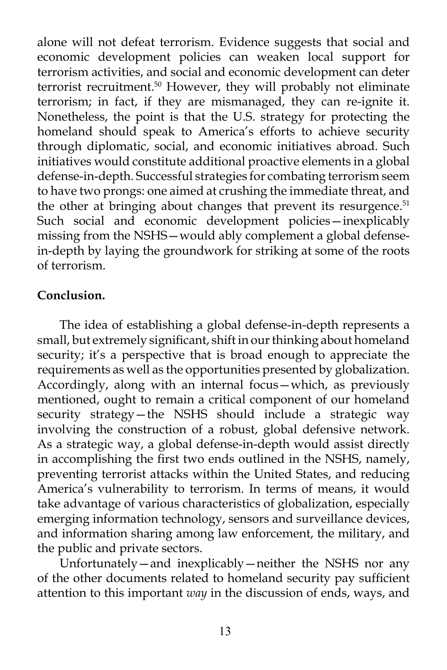alone will not defeat terrorism. Evidence suggests that social and economic development policies can weaken local support for terrorism activities, and social and economic development can deter terrorist recruitment.50 However, they will probably not eliminate terrorism; in fact, if they are mismanaged, they can re-ignite it. Nonetheless, the point is that the U.S. strategy for protecting the homeland should speak to America's efforts to achieve security through diplomatic, social, and economic initiatives abroad. Such initiatives would constitute additional proactive elements in a global defense-in-depth. Successful strategies for combating terrorism seem to have two prongs: one aimed at crushing the immediate threat, and the other at bringing about changes that prevent its resurgence.<sup>51</sup> Such social and economic development policies—inexplicably missing from the NSHS—would ably complement a global defensein-depth by laying the groundwork for striking at some of the roots of terrorism.

#### **Conclusion.**

The idea of establishing a global defense-in-depth represents a small, but extremely significant, shift in our thinking about homeland security; it's a perspective that is broad enough to appreciate the requirements as well as the opportunities presented by globalization. Accordingly, along with an internal focus—which, as previously mentioned, ought to remain a critical component of our homeland security strategy—the NSHS should include a strategic way involving the construction of a robust, global defensive network. As a strategic way, a global defense-in-depth would assist directly in accomplishing the first two ends outlined in the NSHS, namely, preventing terrorist attacks within the United States, and reducing America's vulnerability to terrorism. In terms of means, it would take advantage of various characteristics of globalization, especially emerging information technology, sensors and surveillance devices, and information sharing among law enforcement, the military, and the public and private sectors.

Unfortunately—and inexplicably—neither the NSHS nor any of the other documents related to homeland security pay sufficient attention to this important *way* in the discussion of ends, ways, and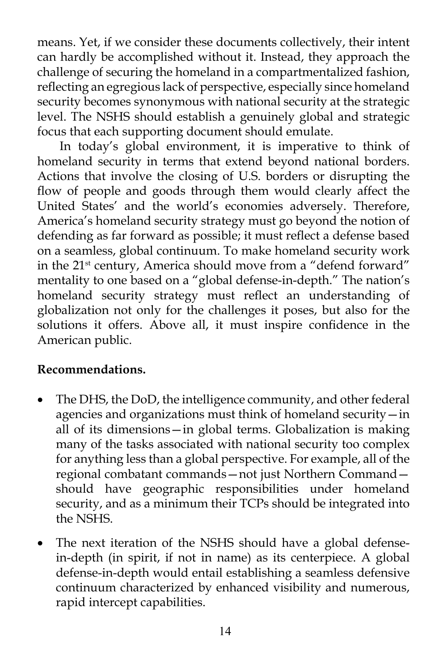means. Yet, if we consider these documents collectively, their intent can hardly be accomplished without it. Instead, they approach the challenge of securing the homeland in a compartmentalized fashion, reflecting an egregious lack of perspective, especially since homeland security becomes synonymous with national security at the strategic level. The NSHS should establish a genuinely global and strategic focus that each supporting document should emulate.

In today's global environment, it is imperative to think of homeland security in terms that extend beyond national borders. Actions that involve the closing of U.S. borders or disrupting the flow of people and goods through them would clearly affect the United States' and the world's economies adversely. Therefore, America's homeland security strategy must go beyond the notion of defending as far forward as possible; it must reflect a defense based on a seamless, global continuum. To make homeland security work in the 21st century, America should move from a "defend forward" mentality to one based on a "global defense-in-depth." The nation's homeland security strategy must reflect an understanding of globalization not only for the challenges it poses, but also for the solutions it offers. Above all, it must inspire confidence in the American public.

# **Recommendations.**

- The DHS, the DoD, the intelligence community, and other federal agencies and organizations must think of homeland security—in all of its dimensions—in global terms. Globalization is making many of the tasks associated with national security too complex for anything less than a global perspective. For example, all of the regional combatant commands—not just Northern Command should have geographic responsibilities under homeland security, and as a minimum their TCPs should be integrated into the NSHS.
- The next iteration of the NSHS should have a global defensein-depth (in spirit, if not in name) as its centerpiece. A global defense-in-depth would entail establishing a seamless defensive continuum characterized by enhanced visibility and numerous, rapid intercept capabilities.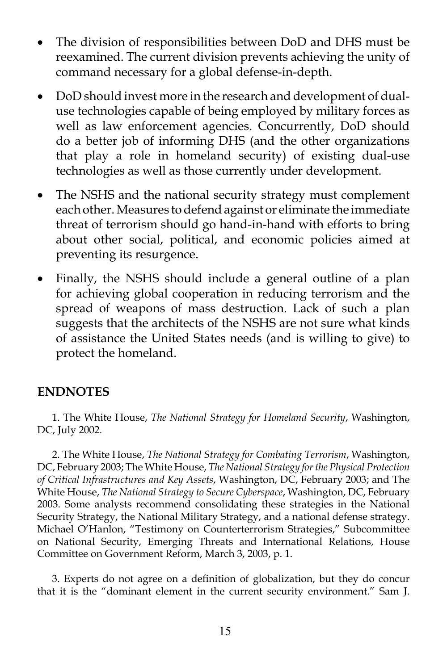- The division of responsibilities between DoD and DHS must be reexamined. The current division prevents achieving the unity of command necessary for a global defense-in-depth.
- DoD should invest more in the research and development of dualuse technologies capable of being employed by military forces as well as law enforcement agencies. Concurrently, DoD should do a better job of informing DHS (and the other organizations that play a role in homeland security) of existing dual-use technologies as well as those currently under development.
- The NSHS and the national security strategy must complement each other. Measures to defend against or eliminate the immediate threat of terrorism should go hand-in-hand with efforts to bring about other social, political, and economic policies aimed at preventing its resurgence.
- Finally, the NSHS should include a general outline of a plan for achieving global cooperation in reducing terrorism and the spread of weapons of mass destruction. Lack of such a plan suggests that the architects of the NSHS are not sure what kinds of assistance the United States needs (and is willing to give) to protect the homeland.

### **ENDNOTES**

1. The White House, *The National Strategy for Homeland Security*, Washington, DC, July 2002.

2. The White House, *The National Strategy for Combating Terrorism*, Washington, DC, February 2003; The White House, *The National Strategy for the Physical Protection of Critical Infrastructures and Key Assets*, Washington, DC, February 2003; and The White House, *The National Strategy to Secure Cyberspace*, Washington, DC, February 2003. Some analysts recommend consolidating these strategies in the National Security Strategy, the National Military Strategy, and a national defense strategy. Michael O'Hanlon, "Testimony on Counterterrorism Strategies," Subcommittee on National Security, Emerging Threats and International Relations, House Committee on Government Reform, March 3, 2003, p. 1.

3. Experts do not agree on a definition of globalization, but they do concur that it is the "dominant element in the current security environment." Sam J.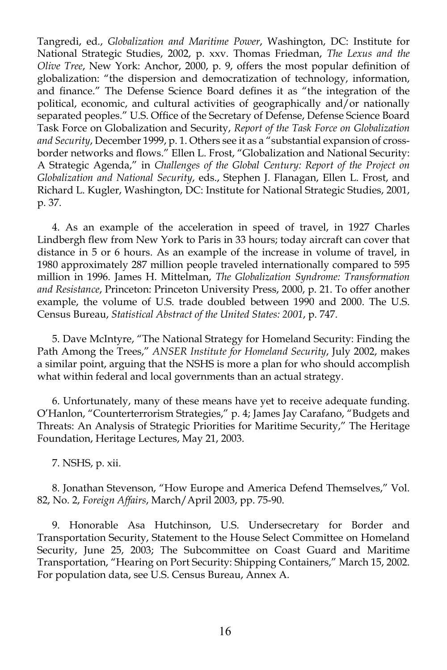Tangredi, ed., *Globalization and Maritime Power*, Washington, DC: Institute for National Strategic Studies, 2002, p. xxv. Thomas Friedman, *The Lexus and the Olive Tree*, New York: Anchor, 2000, p. 9, offers the most popular definition of globalization: "the dispersion and democratization of technology, information, and finance." The Defense Science Board defines it as "the integration of the political, economic, and cultural activities of geographically and/or nationally separated peoples." U.S. Office of the Secretary of Defense, Defense Science Board Task Force on Globalization and Security, *Report of the Task Force on Globalization and Security*, December 1999, p. 1. Others see it as a "substantial expansion of crossborder networks and flows." Ellen L. Frost, "Globalization and National Security: A Strategic Agenda," in *Challenges of the Global Century: Report of the Project on Globalization and National Security*, eds., Stephen J. Flanagan, Ellen L. Frost, and Richard L. Kugler, Washington, DC: Institute for National Strategic Studies, 2001, p. 37.

4. As an example of the acceleration in speed of travel, in 1927 Charles Lindbergh flew from New York to Paris in 33 hours; today aircraft can cover that distance in 5 or 6 hours. As an example of the increase in volume of travel, in 1980 approximately 287 million people traveled internationally compared to 595 million in 1996. James H. Mittelman, *The Globalization Syndrome: Transformation and Resistance*, Princeton: Princeton University Press, 2000, p. 21. To offer another example, the volume of U.S. trade doubled between 1990 and 2000. The U.S. Census Bureau, *Statistical Abstract of the United States: 2001*, p. 747.

5. Dave McIntyre, "The National Strategy for Homeland Security: Finding the Path Among the Trees," *ANSER Institute for Homeland Security*, July 2002, makes a similar point, arguing that the NSHS is more a plan for who should accomplish what within federal and local governments than an actual strategy.

6. Unfortunately, many of these means have yet to receive adequate funding. O'Hanlon, "Counterterrorism Strategies," p. 4; James Jay Carafano, "Budgets and Threats: An Analysis of Strategic Priorities for Maritime Security," The Heritage Foundation, Heritage Lectures, May 21, 2003.

7. NSHS, p. xii.

8. Jonathan Stevenson, "How Europe and America Defend Themselves," Vol. 82, No. 2, *Foreign Affairs*, March/April 2003, pp. 75-90.

9. Honorable Asa Hutchinson, U.S. Undersecretary for Border and Transportation Security, Statement to the House Select Committee on Homeland Security, June 25, 2003; The Subcommittee on Coast Guard and Maritime Transportation, "Hearing on Port Security: Shipping Containers," March 15, 2002. For population data, see U.S. Census Bureau, Annex A.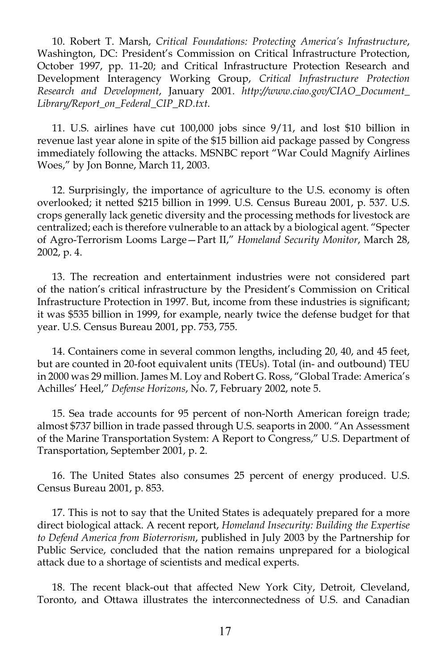10. Robert T. Marsh, *Critical Foundations: Protecting America's Infrastructure*, Washington, DC: President's Commission on Critical Infrastructure Protection, October 1997, pp. 11-20; and Critical Infrastructure Protection Research and Development Interagency Working Group, *Critical Infrastructure Protection Research and Development*, January 2001. *http://www.ciao.gov/CIAO\_Document\_ Library/Report\_on\_Federal\_CIP\_RD.txt*.

11. U.S. airlines have cut 100,000 jobs since 9/11, and lost \$10 billion in revenue last year alone in spite of the \$15 billion aid package passed by Congress immediately following the attacks. MSNBC report "War Could Magnify Airlines Woes," by Jon Bonne, March 11, 2003.

12. Surprisingly, the importance of agriculture to the U.S. economy is often overlooked; it netted \$215 billion in 1999. U.S. Census Bureau 2001, p. 537. U.S. crops generally lack genetic diversity and the processing methods for livestock are centralized; each is therefore vulnerable to an attack by a biological agent. "Specter of Agro-Terrorism Looms Large—Part II," *Homeland Security Monitor*, March 28, 2002, p. 4.

13. The recreation and entertainment industries were not considered part of the nation's critical infrastructure by the President's Commission on Critical Infrastructure Protection in 1997. But, income from these industries is significant; it was \$535 billion in 1999, for example, nearly twice the defense budget for that year. U.S. Census Bureau 2001, pp. 753, 755.

14. Containers come in several common lengths, including 20, 40, and 45 feet, but are counted in 20-foot equivalent units (TEUs). Total (in- and outbound) TEU in 2000 was 29 million. James M. Loy and Robert G. Ross, "Global Trade: America's Achilles' Heel," *Defense Horizons*, No. 7, February 2002, note 5.

15. Sea trade accounts for 95 percent of non-North American foreign trade; almost \$737 billion in trade passed through U.S. seaports in 2000. "An Assessment of the Marine Transportation System: A Report to Congress," U.S. Department of Transportation, September 2001, p. 2.

16. The United States also consumes 25 percent of energy produced. U.S. Census Bureau 2001, p. 853.

17. This is not to say that the United States is adequately prepared for a more direct biological attack. A recent report, *Homeland Insecurity: Building the Expertise to Defend America from Bioterrorism*, published in July 2003 by the Partnership for Public Service, concluded that the nation remains unprepared for a biological attack due to a shortage of scientists and medical experts.

18. The recent black-out that affected New York City, Detroit, Cleveland, Toronto, and Ottawa illustrates the interconnectedness of U.S. and Canadian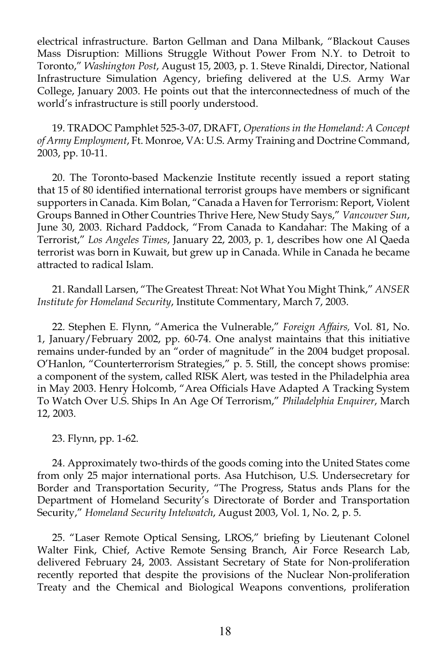electrical infrastructure. Barton Gellman and Dana Milbank, "Blackout Causes Mass Disruption: Millions Struggle Without Power From N.Y. to Detroit to Toronto," *Washington Post*, August 15, 2003, p. 1. Steve Rinaldi, Director, National Infrastructure Simulation Agency, briefing delivered at the U.S. Army War College, January 2003. He points out that the interconnectedness of much of the world's infrastructure is still poorly understood.

19. TRADOC Pamphlet 525-3-07, DRAFT, *Operations in the Homeland: A Concept of Army Employment*, Ft. Monroe, VA: U.S. Army Training and Doctrine Command, 2003, pp. 10-11.

20. The Toronto-based Mackenzie Institute recently issued a report stating that 15 of 80 identified international terrorist groups have members or significant supporters in Canada. Kim Bolan, "Canada a Haven for Terrorism: Report, Violent Groups Banned in Other Countries Thrive Here, New Study Says," *Vancouver Sun*, June 30, 2003. Richard Paddock, "From Canada to Kandahar: The Making of a Terrorist," *Los Angeles Times*, January 22, 2003, p. 1, describes how one Al Qaeda terrorist was born in Kuwait, but grew up in Canada. While in Canada he became attracted to radical Islam.

21. Randall Larsen, "The Greatest Threat: Not What You Might Think," *ANSER Institute for Homeland Security*, Institute Commentary, March 7, 2003.

22. Stephen E. Flynn, "America the Vulnerable," *Foreign Affairs,* Vol. 81, No. 1, January/February 2002, pp. 60-74. One analyst maintains that this initiative remains under-funded by an "order of magnitude" in the 2004 budget proposal. O'Hanlon, "Counterterrorism Strategies," p. 5. Still, the concept shows promise: a component of the system, called RISK Alert, was tested in the Philadelphia area in May 2003. Henry Holcomb, "Area Officials Have Adapted A Tracking System To Watch Over U.S. Ships In An Age Of Terrorism," *Philadelphia Enquirer*, March 12, 2003.

23. Flynn, pp. 1-62.

24. Approximately two-thirds of the goods coming into the United States come from only 25 major international ports. Asa Hutchison, U.S. Undersecretary for Border and Transportation Security, "The Progress, Status ands Plans for the Department of Homeland Security's Directorate of Border and Transportation Security," *Homeland Security Intelwatch*, August 2003, Vol. 1, No. 2, p. 5.

25. "Laser Remote Optical Sensing, LROS," briefing by Lieutenant Colonel Walter Fink, Chief, Active Remote Sensing Branch, Air Force Research Lab, delivered February 24, 2003. Assistant Secretary of State for Non-proliferation recently reported that despite the provisions of the Nuclear Non-proliferation Treaty and the Chemical and Biological Weapons conventions, proliferation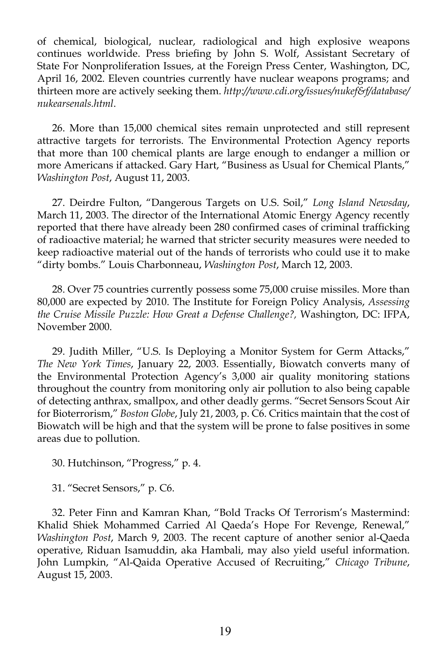of chemical, biological, nuclear, radiological and high explosive weapons continues worldwide. Press briefing by John S. Wolf, Assistant Secretary of State For Nonproliferation Issues, at the Foreign Press Center, Washington, DC, April 16, 2002. Eleven countries currently have nuclear weapons programs; and thirteen more are actively seeking them. *http://www.cdi.org/issues/nukef&f/database/ nukearsenals.html*.

26. More than 15,000 chemical sites remain unprotected and still represent attractive targets for terrorists. The Environmental Protection Agency reports that more than 100 chemical plants are large enough to endanger a million or more Americans if attacked. Gary Hart, "Business as Usual for Chemical Plants," *Washington Post*, August 11, 2003.

27. Deirdre Fulton, "Dangerous Targets on U.S. Soil," *Long Island Newsday*, March 11, 2003. The director of the International Atomic Energy Agency recently reported that there have already been 280 confirmed cases of criminal trafficking of radioactive material; he warned that stricter security measures were needed to keep radioactive material out of the hands of terrorists who could use it to make "dirty bombs." Louis Charbonneau, *Washington Post*, March 12, 2003.

28. Over 75 countries currently possess some 75,000 cruise missiles. More than 80,000 are expected by 2010. The Institute for Foreign Policy Analysis, *Assessing the Cruise Missile Puzzle: How Great a Defense Challenge?,* Washington, DC: IFPA, November 2000.

29. Judith Miller, "U.S. Is Deploying a Monitor System for Germ Attacks," *The New York Times*, January 22, 2003. Essentially, Biowatch converts many of the Environmental Protection Agency's 3,000 air quality monitoring stations throughout the country from monitoring only air pollution to also being capable of detecting anthrax, smallpox, and other deadly germs. "Secret Sensors Scout Air for Bioterrorism," *Boston Globe*, July 21, 2003, p. C6. Critics maintain that the cost of Biowatch will be high and that the system will be prone to false positives in some areas due to pollution.

30. Hutchinson, "Progress," p. 4.

31. "Secret Sensors," p. C6.

32. Peter Finn and Kamran Khan, "Bold Tracks Of Terrorism's Mastermind: Khalid Shiek Mohammed Carried Al Qaeda's Hope For Revenge, Renewal," *Washington Post*, March 9, 2003. The recent capture of another senior al-Qaeda operative, Riduan Isamuddin, aka Hambali, may also yield useful information. John Lumpkin, "Al-Qaida Operative Accused of Recruiting," *Chicago Tribune*, August 15, 2003.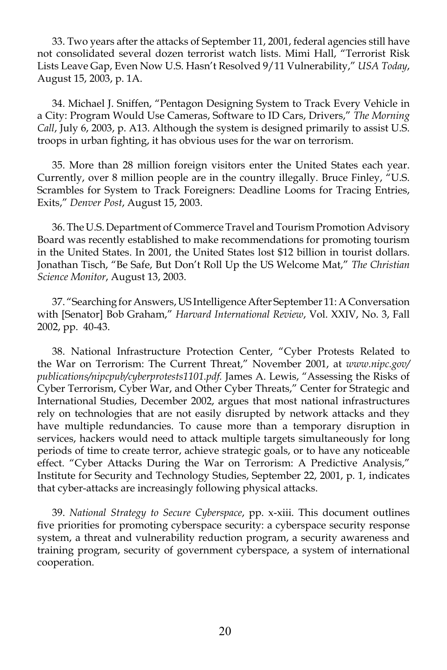33. Two years after the attacks of September 11, 2001, federal agencies still have not consolidated several dozen terrorist watch lists. Mimi Hall, "Terrorist Risk Lists Leave Gap, Even Now U.S. Hasn't Resolved 9/11 Vulnerability," *USA Today*, August 15, 2003, p. 1A.

34. Michael J. Sniffen, "Pentagon Designing System to Track Every Vehicle in a City: Program Would Use Cameras, Software to ID Cars, Drivers," *The Morning Call*, July 6, 2003, p. A13. Although the system is designed primarily to assist U.S. troops in urban fighting, it has obvious uses for the war on terrorism.

35. More than 28 million foreign visitors enter the United States each year. Currently, over 8 million people are in the country illegally. Bruce Finley, "U.S. Scrambles for System to Track Foreigners: Deadline Looms for Tracing Entries, Exits," *Denver Post*, August 15, 2003.

36. The U.S. Department of Commerce Travel and Tourism Promotion Advisory Board was recently established to make recommendations for promoting tourism in the United States. In 2001, the United States lost \$12 billion in tourist dollars. Jonathan Tisch, "Be Safe, But Don't Roll Up the US Welcome Mat," *The Christian Science Monitor*, August 13, 2003.

37. "Searching for Answers, US Intelligence After September 11: A Conversation with [Senator] Bob Graham," *Harvard International Review*, Vol. XXIV, No. 3, Fall 2002, pp. 40-43.

38. National Infrastructure Protection Center, "Cyber Protests Related to the War on Terrorism: The Current Threat," November 2001, at *www.nipc.gov/ publications/nipcpub/cyberprotests1101.pdf.* James A. Lewis, "Assessing the Risks of Cyber Terrorism, Cyber War, and Other Cyber Threats," Center for Strategic and International Studies, December 2002, argues that most national infrastructures rely on technologies that are not easily disrupted by network attacks and they have multiple redundancies. To cause more than a temporary disruption in services, hackers would need to attack multiple targets simultaneously for long periods of time to create terror, achieve strategic goals, or to have any noticeable effect. "Cyber Attacks During the War on Terrorism: A Predictive Analysis," Institute for Security and Technology Studies, September 22, 2001, p. 1, indicates that cyber-attacks are increasingly following physical attacks.

39. *National Strategy to Secure Cyberspace*, pp. x-xiii. This document outlines five priorities for promoting cyberspace security: a cyberspace security response system, a threat and vulnerability reduction program, a security awareness and training program, security of government cyberspace, a system of international cooperation.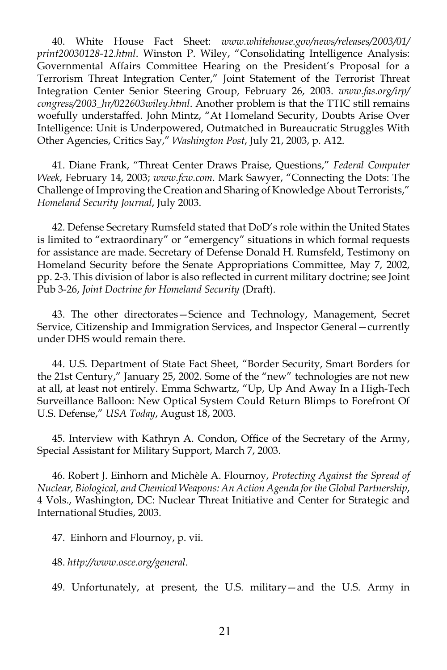40. White House Fact Sheet: *www.whitehouse.gov/news/releases/2003/01/ print20030128-12.html*. Winston P. Wiley, "Consolidating Intelligence Analysis: Governmental Affairs Committee Hearing on the President's Proposal for a Terrorism Threat Integration Center," Joint Statement of the Terrorist Threat Integration Center Senior Steering Group, February 26, 2003. *www.fas.org/irp/ congress/2003\_hr/022603wiley.html*. Another problem is that the TTIC still remains woefully understaffed. John Mintz, "At Homeland Security, Doubts Arise Over Intelligence: Unit is Underpowered, Outmatched in Bureaucratic Struggles With Other Agencies, Critics Say," *Washington Post*, July 21, 2003, p. A12.

41. Diane Frank, "Threat Center Draws Praise, Questions," *Federal Computer Week*, February 14, 2003; *www.fcw.com*. Mark Sawyer, "Connecting the Dots: The Challenge of Improving the Creation and Sharing of Knowledge About Terrorists," *Homeland Security Journal*, July 2003.

42. Defense Secretary Rumsfeld stated that DoD's role within the United States is limited to "extraordinary" or "emergency" situations in which formal requests for assistance are made. Secretary of Defense Donald H. Rumsfeld, Testimony on Homeland Security before the Senate Appropriations Committee, May 7, 2002, pp. 2-3. This division of labor is also reflected in current military doctrine; see Joint Pub 3-26, *Joint Doctrine for Homeland Security* (Draft).

43. The other directorates—Science and Technology, Management, Secret Service, Citizenship and Immigration Services, and Inspector General—currently under DHS would remain there.

44. U.S. Department of State Fact Sheet, "Border Security, Smart Borders for the 21st Century," January 25, 2002. Some of the "new" technologies are not new at all, at least not entirely. Emma Schwartz, "Up, Up And Away In a High-Tech Surveillance Balloon: New Optical System Could Return Blimps to Forefront Of U.S. Defense," *USA Today*, August 18, 2003.

45. Interview with Kathryn A. Condon, Office of the Secretary of the Army, Special Assistant for Military Support, March 7, 2003.

46. Robert J. Einhorn and Michèle A. Flournoy, *Protecting Against the Spread of Nuclear, Biological, and Chemical Weapons: An Action Agenda for the Global Partnership*, 4 Vols., Washington, DC: Nuclear Threat Initiative and Center for Strategic and International Studies, 2003.

47. Einhorn and Flournoy, p. vii.

48. *http://www.osce.org/general*.

49. Unfortunately, at present, the U.S. military—and the U.S. Army in